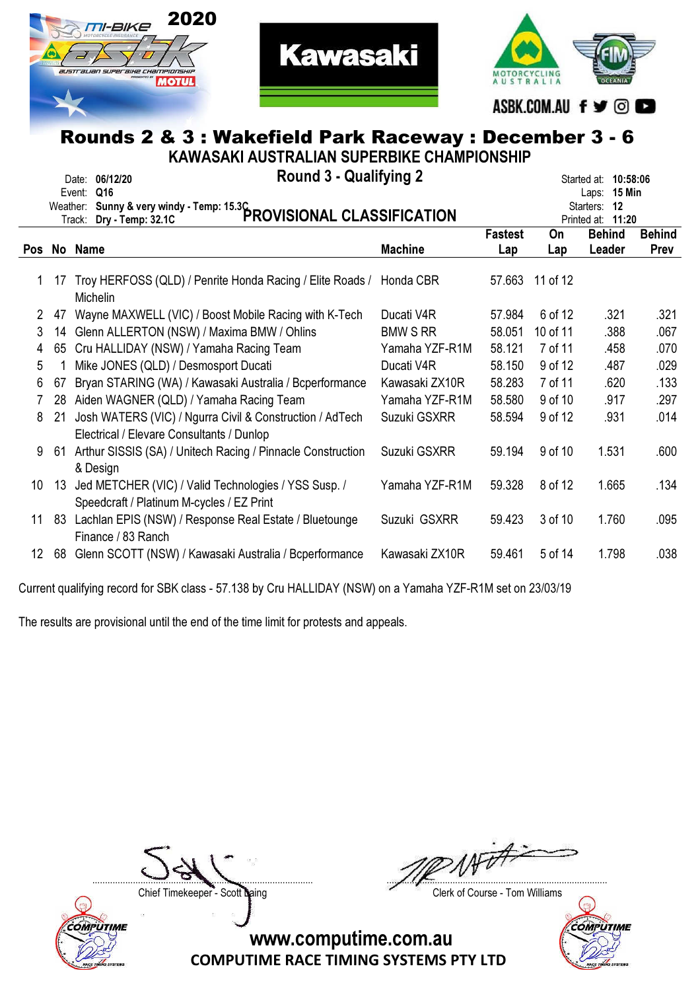



**Kawasaki** 

KAWASAKI AUSTRALIAN SUPERBIKE CHAMPIONSHIP

|     |     | <b>Round 3 - Qualifying 2</b><br>Date: 06/12/20<br>Q16<br>Event:<br>Weather: Sunny & very windy - Temp: 15.3C<br>PROVISIONAL CLASSIFICATION |                 |                |          | Started at: 10:58:06<br><b>15 Min</b><br>Laps:<br>Starters: 12<br>Printed at: 11:20 |                       |
|-----|-----|---------------------------------------------------------------------------------------------------------------------------------------------|-----------------|----------------|----------|-------------------------------------------------------------------------------------|-----------------------|
| Pos |     | No Name                                                                                                                                     | <b>Machine</b>  | <b>Fastest</b> | On       | <b>Behind</b><br>Leader                                                             | <b>Behind</b><br>Prev |
|     |     |                                                                                                                                             |                 | Lap            | Lap      |                                                                                     |                       |
|     | 17  | Troy HERFOSS (QLD) / Penrite Honda Racing / Elite Roads /<br><b>Michelin</b>                                                                | Honda CBR       | 57.663         | 11 of 12 |                                                                                     |                       |
| 2   | 47  | Wayne MAXWELL (VIC) / Boost Mobile Racing with K-Tech                                                                                       | Ducati V4R      | 57.984         | 6 of 12  | .321                                                                                | .321                  |
| 3   | 14  | Glenn ALLERTON (NSW) / Maxima BMW / Ohlins                                                                                                  | <b>BMW S RR</b> | 58.051         | 10 of 11 | .388                                                                                | .067                  |
| 4   | 65  | Cru HALLIDAY (NSW) / Yamaha Racing Team                                                                                                     | Yamaha YZF-R1M  | 58.121         | 7 of 11  | .458                                                                                | .070                  |
| 5   |     | Mike JONES (QLD) / Desmosport Ducati                                                                                                        | Ducati V4R      | 58.150         | 9 of 12  | .487                                                                                | .029                  |
| 6   | 67  | Bryan STARING (WA) / Kawasaki Australia / Bcperformance                                                                                     | Kawasaki ZX10R  | 58.283         | 7 of 11  | .620                                                                                | .133                  |
| 7   | 28  | Aiden WAGNER (QLD) / Yamaha Racing Team                                                                                                     | Yamaha YZF-R1M  | 58.580         | 9 of 10  | .917                                                                                | .297                  |
| 8   | 21  | Josh WATERS (VIC) / Ngurra Civil & Construction / AdTech<br>Electrical / Elevare Consultants / Dunlop                                       | Suzuki GSXRR    | 58.594         | 9 of 12  | .931                                                                                | .014                  |
| 9   | -61 | Arthur SISSIS (SA) / Unitech Racing / Pinnacle Construction<br>& Design                                                                     | Suzuki GSXRR    | 59.194         | 9 of 10  | 1.531                                                                               | .600                  |
| 10  | 13  | Jed METCHER (VIC) / Valid Technologies / YSS Susp. /<br>Speedcraft / Platinum M-cycles / EZ Print                                           | Yamaha YZF-R1M  | 59.328         | 8 of 12  | 1.665                                                                               | .134                  |
| 11  | -83 | Lachlan EPIS (NSW) / Response Real Estate / Bluetounge<br>Finance / 83 Ranch                                                                | Suzuki GSXRR    | 59.423         | 3 of 10  | 1.760                                                                               | .095                  |
| 12  | 68  | Glenn SCOTT (NSW) / Kawasaki Australia / Bcperformance                                                                                      | Kawasaki ZX10R  | 59.461         | 5 of 14  | 1.798                                                                               | .038                  |

Current qualifying record for SBK class - 57.138 by Cru HALLIDAY (NSW) on a Yamaha YZF-R1M set on 23/03/19

The results are provisional until the end of the time limit for protests and appeals.



NATA. ....................................................................................... .......................................................................................

Chief Timekeeper - Scott Laing Chief Timekeeper - Scott Laing

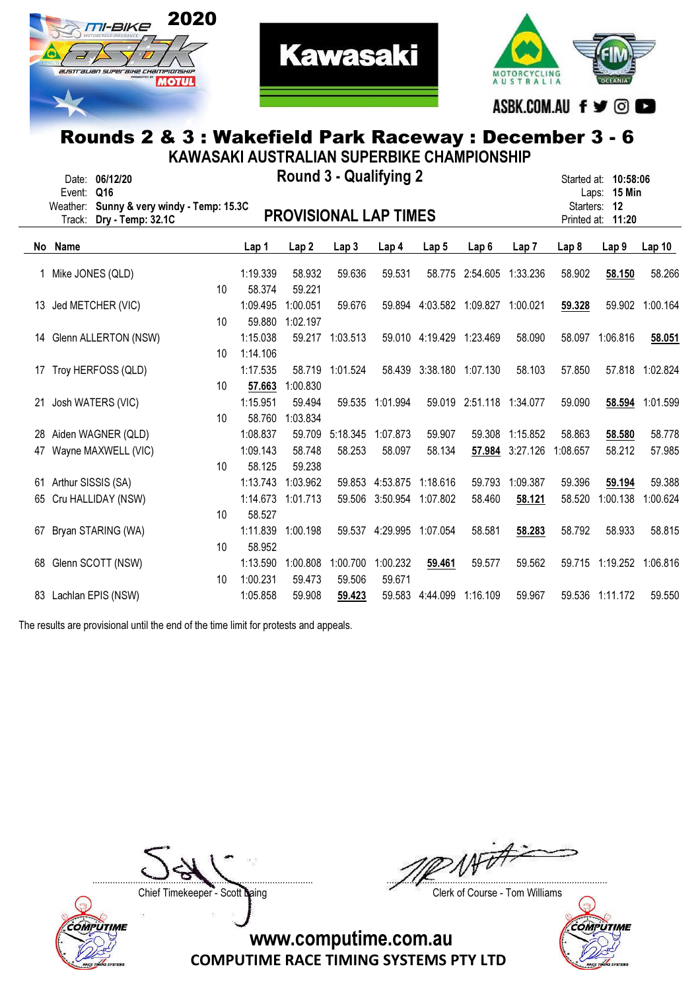



**Kawasaki** 

|    | KAWASAKI AUSTRALIAN SUPERBIKE CHAMPIONSHIP |                                                    |                 |                      |                    |                               |                          |                                   |                          |                  |          |                                                      |                 |
|----|--------------------------------------------|----------------------------------------------------|-----------------|----------------------|--------------------|-------------------------------|--------------------------|-----------------------------------|--------------------------|------------------|----------|------------------------------------------------------|-----------------|
|    | Event: Q16<br>Weather:                     | Date: 06/12/20<br>Sunny & very windy - Temp: 15.3C |                 |                      |                    | <b>Round 3 - Qualifying 2</b> |                          |                                   |                          |                  |          | Started at: 10:58:06<br>Laps: 15 Min<br>Starters: 12 |                 |
|    | Track:                                     | Dry - Temp: 32.1C                                  |                 |                      |                    | <b>PROVISIONAL LAP TIMES</b>  |                          |                                   |                          |                  |          | Printed at: 11:20                                    |                 |
|    | No Name                                    |                                                    |                 | Lap 1                | Lap <sub>2</sub>   | Lap3                          | Lap 4                    | Lap <sub>5</sub>                  | Lap <sub>6</sub>         | Lap <sub>7</sub> | Lap 8    | Lap <sub>9</sub>                                     | Lap10           |
|    |                                            | 1 Mike JONES (QLD)                                 |                 | 1:19.339             | 58.932             | 59.636                        | 59.531                   |                                   | 58.775 2:54.605          | 1:33.236         | 58.902   | 58.150                                               | 58.266          |
|    |                                            | 13 Jed METCHER (VIC)                               | 10              | 58.374<br>1:09.495   | 59.221<br>1:00.051 | 59.676                        |                          | 59.894 4:03.582 1:09.827 1:00.021 |                          |                  | 59.328   |                                                      | 59.902 1:00.164 |
|    |                                            |                                                    | 10              | 59.880               | 1:02.197           |                               |                          |                                   |                          |                  |          |                                                      |                 |
|    |                                            | 14 Glenn ALLERTON (NSW)                            | 10              | 1:15.038<br>1:14.106 | 59.217             | 1:03.513                      |                          | 59.010 4:19.429 1:23.469          |                          | 58.090           | 58.097   | 1:06.816                                             | 58.051          |
| 17 |                                            | Troy HERFOSS (QLD)                                 |                 | 1:17.535             | 58.719             | 1:01.524                      |                          | 58.439 3:38.180 1:07.130          |                          | 58.103           | 57.850   |                                                      | 57.818 1:02.824 |
|    |                                            |                                                    | 10 <sup>°</sup> | 57.663               | 1:00.830           |                               |                          |                                   |                          |                  |          |                                                      |                 |
|    |                                            | 21 Josh WATERS (VIC)                               | 10              | 1:15.951<br>58.760   | 59.494<br>1:03.834 |                               | 59.535 1:01.994          |                                   | 59.019 2:51.118 1:34.077 |                  | 59.090   | 58.594                                               | 1:01.599        |
|    |                                            | 28 Aiden WAGNER (QLD)                              |                 | 1:08.837             | 59.709             | 5:18.345 1:07.873             |                          | 59.907                            |                          | 59.308 1:15.852  | 58.863   | 58.580                                               | 58.778          |
|    |                                            | 47 Wayne MAXWELL (VIC)                             | 10              | 1:09.143<br>58.125   | 58.748<br>59.238   | 58.253                        | 58.097                   | 58.134                            |                          | 57.984 3:27.126  | 1:08.657 | 58.212                                               | 57.985          |
|    | 61 Arthur SISSIS (SA)                      |                                                    |                 | 1:13.743             | 1:03.962           |                               | 59.853 4:53.875          | 1:18.616                          | 59.793                   | 1:09.387         | 59.396   | 59.194                                               | 59.388          |
|    |                                            | 65 Cru HALLIDAY (NSW)                              |                 | 1:14.673             | 1:01.713           | 59.506                        | 3:50.954                 | 1:07.802                          | 58.460                   | 58.121           | 58.520   | 1:00.138                                             | 1:00.624        |
|    |                                            | 67 Bryan STARING (WA)                              | 10              | 58.527<br>1:11.839   | 1:00.198           |                               | 59.537 4:29.995 1:07.054 |                                   | 58.581                   | 58.283           | 58.792   | 58.933                                               | 58.815          |
|    |                                            |                                                    | 10              | 58.952               |                    |                               |                          |                                   |                          |                  |          |                                                      |                 |
|    |                                            | 68 Glenn SCOTT (NSW)                               |                 | 1:13.590<br>1:00.231 | 1:00.808<br>59.473 | 1:00.700<br>59.506            | 1:00.232<br>59.671       | 59.461                            | 59.577                   | 59.562           |          | 59.715 1:19.252 1:06.816                             |                 |
|    |                                            | 83 Lachlan EPIS (NSW)                              | 10              | 1:05.858             | 59.908             | 59.423                        |                          | 59.583 4:44.099                   | 1:16.109                 | 59.967           |          | 59.536 1:11.172                                      | 59.550          |

The results are provisional until the end of the time limit for protests and appeals.



**AFT** ....................................................................................... .......................................................................................

Chief Timekeeper - Scott Laing Chief Timekeeper - Scott Laing

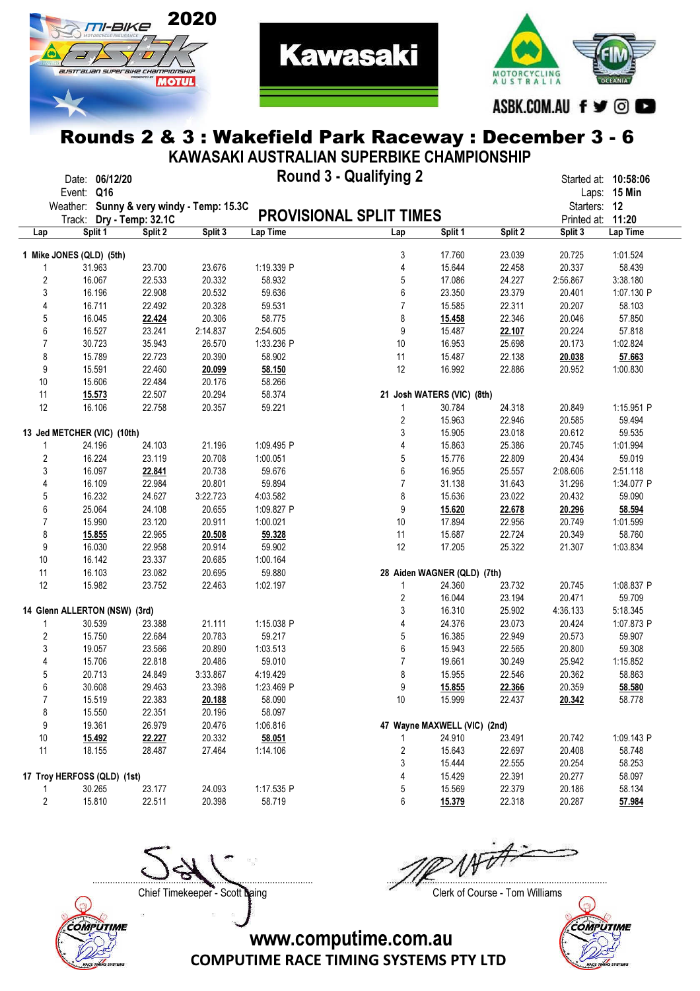



**Kawasaki** 

|                | KAWASAKI AUSTRALIAN SUPERBIKE CHAMPIONSHIP |                               |         |                                           |                                |                |                              |         |                      |              |
|----------------|--------------------------------------------|-------------------------------|---------|-------------------------------------------|--------------------------------|----------------|------------------------------|---------|----------------------|--------------|
|                | Event: Q16                                 | Date: 06/12/20                |         |                                           | <b>Round 3 - Qualifying 2</b>  |                |                              |         | Started at: 10:58:06 | Laps: 15 Min |
|                |                                            |                               |         | Weather: Sunny & very windy - Temp: 15.3C |                                |                |                              |         | Starters: 12         |              |
|                |                                            | Track: Dry - Temp: 32.1C      |         |                                           | <b>PROVISIONAL SPLIT TIMES</b> |                |                              |         | Printed at: 11:20    |              |
| Lap            |                                            | Split 1                       | Split 2 | Split 3                                   | Lap Time                       | Lap            | Split 1                      | Split 2 | Split 3              | Lap Time     |
|                |                                            |                               |         |                                           |                                |                |                              |         |                      |              |
|                | 1 Mike JONES (QLD) (5th)                   |                               |         |                                           |                                | 3              | 17.760                       | 23.039  | 20.725               | 1:01.524     |
| 1              |                                            | 31.963                        | 23.700  | 23.676                                    | 1:19.339 P                     | 4              | 15.644                       | 22.458  | 20.337               | 58.439       |
| 2              |                                            | 16.067                        | 22.533  | 20.332                                    | 58.932                         | 5              | 17.086                       | 24.227  | 2:56.867             | 3:38.180     |
| 3              |                                            | 16.196                        | 22.908  | 20.532                                    | 59.636                         | 6              | 23.350                       | 23.379  | 20.401               | 1:07.130 P   |
| 4              |                                            | 16.711                        | 22.492  | 20.328                                    | 59.531                         | $\overline{7}$ | 15.585                       | 22.311  | 20.207               | 58.103       |
| 5              |                                            | 16.045                        | 22.424  | 20.306                                    | 58.775                         | 8              | 15.458                       | 22.346  | 20.046               | 57.850       |
| 6              |                                            | 16.527                        | 23.241  | 2:14.837                                  | 2:54.605                       | 9              | 15.487                       | 22.107  | 20.224               | 57.818       |
| 7              |                                            | 30.723                        | 35.943  | 26.570                                    | 1:33.236 P                     | 10             | 16.953                       | 25.698  | 20.173               | 1:02.824     |
| 8              |                                            | 15.789                        | 22.723  | 20.390                                    | 58.902                         | 11             | 15.487                       | 22.138  | 20.038               | 57.663       |
| 9              |                                            | 15.591                        | 22.460  | 20.099                                    | 58.150                         | 12             | 16.992                       | 22.886  | 20.952               | 1:00.830     |
| $10$           |                                            | 15.606                        | 22.484  | 20.176                                    | 58.266                         |                |                              |         |                      |              |
| 11             |                                            | 15.573                        | 22.507  | 20.294                                    | 58.374                         |                | 21 Josh WATERS (VIC) (8th)   |         |                      |              |
| 12             |                                            | 16.106                        | 22.758  | 20.357                                    | 59.221                         | 1              | 30.784                       | 24.318  | 20.849               | 1:15.951 P   |
|                |                                            |                               |         |                                           |                                | 2              | 15.963                       | 22.946  | 20.585               | 59.494       |
|                |                                            | 13 Jed METCHER (VIC) (10th)   |         |                                           |                                | 3              | 15.905                       | 23.018  | 20.612               | 59.535       |
| 1              |                                            | 24.196                        | 24.103  | 21.196                                    | 1:09.495 P                     | 4              | 15.863                       | 25.386  | 20.745               | 1:01.994     |
| 2              |                                            | 16.224                        | 23.119  | 20.708                                    | 1:00.051                       | 5              | 15.776                       | 22.809  | 20.434               | 59.019       |
| 3              |                                            | 16.097                        | 22.841  | 20.738                                    | 59.676                         | 6              | 16.955                       | 25.557  | 2:08.606             | 2:51.118     |
| 4              |                                            | 16.109                        | 22.984  | 20.801                                    | 59.894                         | $\overline{7}$ | 31.138                       | 31.643  | 31.296               | 1:34.077 P   |
| 5              |                                            | 16.232                        | 24.627  | 3:22.723                                  | 4:03.582                       | 8              | 15.636                       | 23.022  | 20.432               | 59.090       |
| 6              |                                            | 25.064                        | 24.108  | 20.655                                    | 1:09.827 P                     | 9              | 15.620                       | 22.678  | 20.296               | 58.594       |
| 7              |                                            | 15.990                        | 23.120  | 20.911                                    | 1:00.021                       | 10             | 17.894                       | 22.956  | 20.749               | 1:01.599     |
| 8              |                                            | 15.855                        | 22.965  | 20.508                                    | 59.328                         | 11             | 15.687                       | 22.724  | 20.349               | 58.760       |
| 9              |                                            | 16.030                        | 22.958  | 20.914                                    | 59.902                         | 12             | 17.205                       | 25.322  | 21.307               | 1:03.834     |
| $10$           |                                            | 16.142                        | 23.337  | 20.685                                    | 1:00.164                       |                |                              |         |                      |              |
| 11             |                                            | 16.103                        | 23.082  | 20.695                                    | 59.880                         |                | 28 Aiden WAGNER (QLD) (7th)  |         |                      |              |
| 12             |                                            | 15.982                        | 23.752  | 22.463                                    | 1:02.197                       | 1              | 24.360                       | 23.732  | 20.745               | 1:08.837 P   |
|                |                                            |                               |         |                                           |                                | 2              | 16.044                       | 23.194  | 20.471               | 59.709       |
|                |                                            | 14 Glenn ALLERTON (NSW) (3rd) |         |                                           |                                | 3              | 16.310                       | 25.902  | 4:36.133             | 5:18.345     |
| 1              |                                            | 30.539                        | 23.388  | 21.111                                    | 1:15.038 P                     | 4              | 24.376                       | 23.073  | 20.424               | 1:07.873 P   |
| 2              |                                            | 15.750                        | 22.684  | 20.783                                    | 59.217                         | 5              | 16.385                       | 22.949  | 20.573               | 59.907       |
| 3              |                                            | 19.057                        | 23.566  | 20.890                                    | 1:03.513                       | 6              | 15.943                       | 22.565  | 20.800               | 59.308       |
| 4              |                                            | 15.706                        | 22.818  | 20.486                                    | 59.010                         | $\overline{7}$ | 19.661                       | 30.249  | 25.942               | 1:15.852     |
| 5              |                                            | 20.713                        | 24.849  | 3:33.867                                  | 4:19.429                       | 8              | 15.955                       | 22.546  | 20.362               | 58.863       |
| 6              |                                            | 30.608                        | 29.463  | 23.398                                    | 1:23.469 P                     | 9              | 15.855                       | 22.366  | 20.359               | 58.580       |
| $\overline{7}$ |                                            | 15.519                        | 22.383  | 20.188                                    | 58.090                         | 10             | 15.999                       | 22.437  | 20.342               | 58.778       |
| 8              |                                            | 15.550                        | 22.351  | 20.196                                    | 58.097                         |                |                              |         |                      |              |
| 9              |                                            | 19.361                        | 26.979  | 20.476                                    | 1:06.816                       |                | 47 Wayne MAXWELL (VIC) (2nd) |         |                      |              |
| 10             |                                            | 15.492                        | 22.227  | 20.332                                    | 58.051                         |                | 24.910                       | 23.491  | 20.742               | 1:09.143 P   |
| 11             |                                            | 18.155                        | 28.487  | 27.464                                    | 1:14.106                       | 2              | 15.643                       | 22.697  | 20.408               | 58.748       |
|                |                                            |                               |         |                                           |                                | 3              | 15.444                       | 22.555  | 20.254               | 58.253       |
|                |                                            | 17 Troy HERFOSS (QLD) (1st)   |         |                                           |                                | 4              | 15.429                       | 22.391  | 20.277               | 58.097       |
| 1              |                                            | 30.265                        | 23.177  | 24.093                                    | 1:17.535 P                     | 5              | 15.569                       | 22.379  | 20.186               | 58.134       |
| $\overline{c}$ |                                            | 15.810                        | 22.511  | 20.398                                    | 58.719                         | 6              | 15.379                       | 22.318  | 20.287               | 57.984       |
|                |                                            |                               |         |                                           |                                |                |                              |         |                      |              |



Chief Timekeeper - Scott Laing Chief Timekeeper - Scott Laing

....................................................................................... .......................................................................................

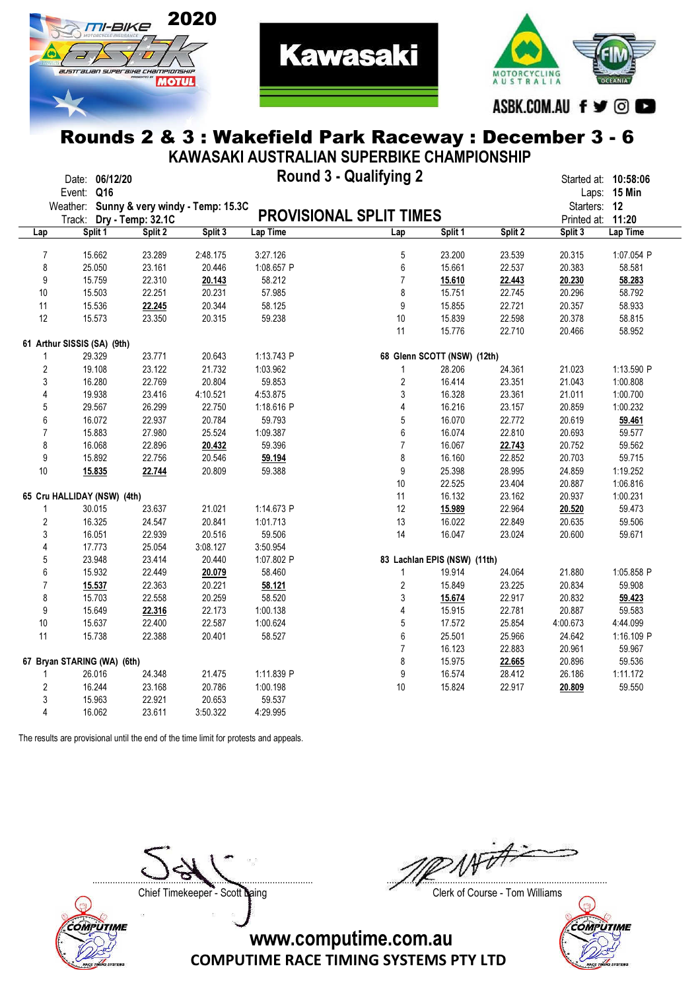



**Kawasaki** 

|                  |                             |         |                                           | KAWASAKI AUSTRALIAN SUPERBIKE CHAMPIONSHIP |                  |                              |         |              |                      |
|------------------|-----------------------------|---------|-------------------------------------------|--------------------------------------------|------------------|------------------------------|---------|--------------|----------------------|
|                  | Date: 06/12/20              |         |                                           | <b>Round 3 - Qualifying 2</b>              |                  |                              |         |              | Started at: 10:58:06 |
|                  | Event: Q16                  |         | Weather: Sunny & very windy - Temp: 15.3C |                                            |                  |                              |         | Starters: 12 | Laps: 15 Min         |
|                  | Track: Dry - Temp: 32.1C    |         |                                           | <b>PROVISIONAL SPLIT TIMES</b>             |                  |                              |         | Printed at:  | 11:20                |
| Lap              | Split 1                     | Split 2 | Split 3                                   | Lap Time                                   | Lap              | Split 1                      | Split 2 | Split 3      | Lap Time             |
|                  |                             |         |                                           |                                            |                  |                              |         |              |                      |
| $\overline{7}$   | 15.662                      | 23.289  | 2:48.175                                  | 3:27.126                                   | 5                | 23.200                       | 23.539  | 20.315       | 1:07.054 P           |
| 8                | 25.050                      | 23.161  | 20.446                                    | 1:08.657 P                                 | 6                | 15.661                       | 22.537  | 20.383       | 58.581               |
| 9                | 15.759                      | 22.310  | 20.143                                    | 58.212                                     | $\overline{7}$   | 15.610                       | 22.443  | 20.230       | 58.283               |
| 10               | 15.503                      | 22.251  | 20.231                                    | 57.985                                     | 8                | 15.751                       | 22.745  | 20.296       | 58.792               |
| 11               | 15.536                      | 22.245  | 20.344                                    | 58.125                                     | 9                | 15.855                       | 22.721  | 20.357       | 58.933               |
| 12               | 15.573                      | 23.350  | 20.315                                    | 59.238                                     | 10               | 15.839                       | 22.598  | 20.378       | 58.815               |
|                  |                             |         |                                           |                                            | 11               | 15.776                       | 22.710  | 20.466       | 58.952               |
|                  | 61 Arthur SISSIS (SA) (9th) |         |                                           |                                            |                  |                              |         |              |                      |
| 1                | 29.329                      | 23.771  | 20.643                                    | 1:13.743 P                                 |                  | 68 Glenn SCOTT (NSW) (12th)  |         |              |                      |
| $\boldsymbol{2}$ | 19.108                      | 23.122  | 21.732                                    | 1:03.962                                   | 1                | 28.206                       | 24.361  | 21.023       | 1:13.590 P           |
| 3                | 16.280                      | 22.769  | 20.804                                    | 59.853                                     | $\overline{2}$   | 16.414                       | 23.351  | 21.043       | 1:00.808             |
| 4                | 19.938                      | 23.416  | 4:10.521                                  | 4:53.875                                   | 3                | 16.328                       | 23.361  | 21.011       | 1:00.700             |
| 5                | 29.567                      | 26.299  | 22.750                                    | 1:18.616 P                                 | 4                | 16.216                       | 23.157  | 20.859       | 1:00.232             |
| 6                | 16.072                      | 22.937  | 20.784                                    | 59.793                                     | 5                | 16.070                       | 22.772  | 20.619       | 59.461               |
| $\overline{7}$   | 15.883                      | 27.980  | 25.524                                    | 1:09.387                                   | 6                | 16.074                       | 22.810  | 20.693       | 59.577               |
| 8                | 16.068                      | 22.896  | 20.432                                    | 59.396                                     | $\overline{7}$   | 16.067                       | 22.743  | 20.752       | 59.562               |
| 9                | 15.892                      | 22.756  | 20.546                                    | 59.194                                     | 8                | 16.160                       | 22.852  | 20.703       | 59.715               |
| 10               | 15.835                      | 22.744  | 20.809                                    | 59.388                                     | 9                | 25.398                       | 28.995  | 24.859       | 1:19.252             |
|                  |                             |         |                                           |                                            | 10               | 22.525                       | 23.404  | 20.887       | 1:06.816             |
|                  | 65 Cru HALLIDAY (NSW) (4th) |         |                                           |                                            | 11               | 16.132                       | 23.162  | 20.937       | 1:00.231             |
| 1                | 30.015                      | 23.637  | 21.021                                    | 1:14.673 P                                 | 12               | 15.989                       | 22.964  | 20.520       | 59.473               |
| $\boldsymbol{2}$ | 16.325                      | 24.547  | 20.841                                    | 1:01.713                                   | 13               | 16.022                       | 22.849  | 20.635       | 59.506               |
| $\sqrt{3}$       | 16.051                      | 22.939  | 20.516                                    | 59.506                                     | 14               | 16.047                       | 23.024  | 20.600       | 59.671               |
| 4                | 17.773                      | 25.054  | 3:08.127                                  | 3:50.954                                   |                  |                              |         |              |                      |
| $\sqrt{5}$       | 23.948                      | 23.414  | 20.440                                    | 1:07.802 P                                 |                  | 83 Lachlan EPIS (NSW) (11th) |         |              |                      |
| $\boldsymbol{6}$ | 15.932                      | 22.449  | 20.079                                    | 58.460                                     | $\mathbf{1}$     | 19.914                       | 24.064  | 21.880       | 1:05.858 P           |
| 7                | 15.537                      | 22.363  | 20.221                                    | 58.121                                     | $\sqrt{2}$       | 15.849                       | 23.225  | 20.834       | 59.908               |
| 8                | 15.703                      | 22.558  | 20.259                                    | 58.520                                     | $\mathsf 3$      | 15.674                       | 22.917  | 20.832       | 59.423               |
| 9                | 15.649                      | 22.316  | 22.173                                    | 1:00.138                                   | 4                | 15.915                       | 22.781  | 20.887       | 59.583               |
| 10               | 15.637                      | 22.400  | 22.587                                    | 1:00.624                                   | $\sqrt{5}$       | 17.572                       | 25.854  | 4:00.673     | 4:44.099             |
| 11               | 15.738                      | 22.388  | 20.401                                    | 58.527                                     | $\boldsymbol{6}$ | 25.501                       | 25.966  | 24.642       | 1:16.109 P           |
|                  |                             |         |                                           |                                            | $\overline{7}$   | 16.123                       | 22.883  | 20.961       | 59.967               |
|                  | 67 Bryan STARING (WA) (6th) |         |                                           |                                            | 8                | 15.975                       | 22.665  | 20.896       | 59.536               |
| 1                | 26.016                      | 24.348  | 21.475                                    | 1:11.839 P                                 | 9                | 16.574                       | 28.412  | 26.186       | 1:11.172             |
| $\overline{2}$   | 16.244                      | 23.168  | 20.786                                    | 1:00.198                                   | 10               | 15.824                       | 22.917  | 20.809       | 59.550               |
| 3                | 15.963                      | 22.921  | 20.653                                    | 59.537                                     |                  |                              |         |              |                      |
| 4                | 16.062                      | 23.611  | 3:50.322                                  | 4:29.995                                   |                  |                              |         |              |                      |
|                  |                             |         |                                           |                                            |                  |                              |         |              |                      |

The results are provisional until the end of the time limit for protests and appeals.



**NFD** ....................................................................................... .......................................................................................



COMPUTIME RACE TIMING SYSTEMS PTY LTD www.computime.com.au

Chief Timekeeper - Scott Laing Chief Timekeeper - Scott Laing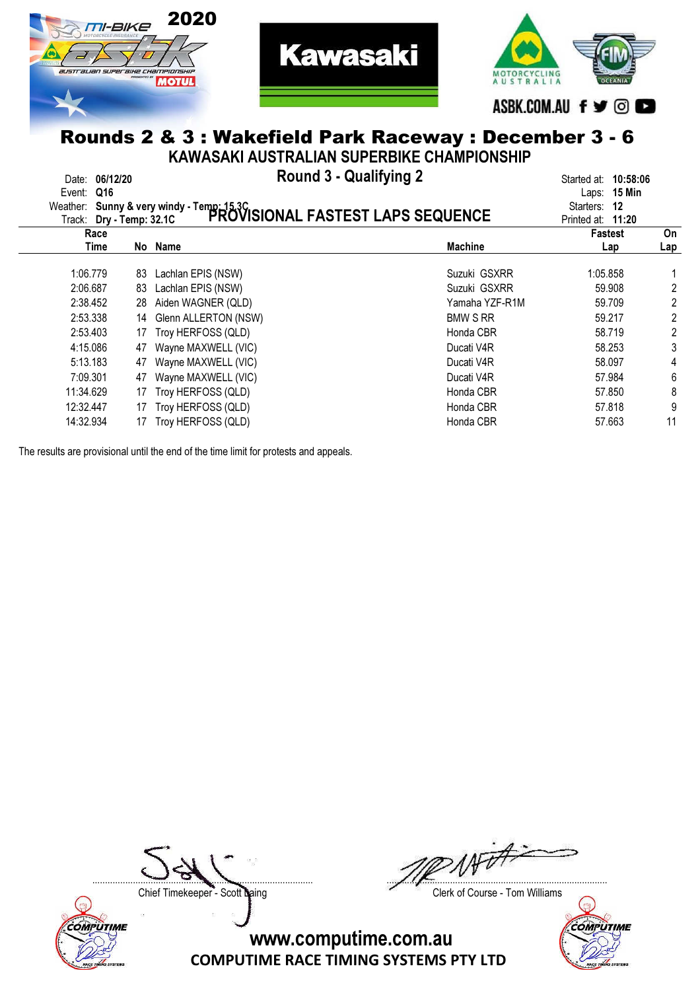



**Kawasaki** 

KAWASAKI AUSTRALIAN SUPERBIKE CHAMPIONSHIP

| 06/12/20<br>Date:<br>Q16<br>Event: |           |    | <b>Round 3 - Qualifying 2</b><br>Weather: Sunny & very windy - Temp: 15.3C<br>Track: Dry - Temp: 32.1C PROVISIONAL FASTEST LAPS SEQUENCE |                 | 10:58:06<br>Started at:<br>Laps: 15 Min<br>Starters:<br>12<br>Printed at: 11:20 |            |
|------------------------------------|-----------|----|------------------------------------------------------------------------------------------------------------------------------------------|-----------------|---------------------------------------------------------------------------------|------------|
|                                    | Race      |    |                                                                                                                                          |                 | <b>Fastest</b>                                                                  | On         |
|                                    | Time      |    | No Name                                                                                                                                  | <b>Machine</b>  | Lap                                                                             | <u>Lap</u> |
|                                    | 1:06.779  | 83 | Lachlan EPIS (NSW)                                                                                                                       | Suzuki GSXRR    | 1:05.858                                                                        |            |
|                                    | 2:06.687  | 83 | Lachlan EPIS (NSW)                                                                                                                       | Suzuki GSXRR    | 59,908                                                                          | 2          |
|                                    | 2:38.452  | 28 | Aiden WAGNER (QLD)                                                                                                                       | Yamaha YZF-R1M  | 59.709                                                                          | 2          |
|                                    | 2:53.338  | 14 | Glenn ALLERTON (NSW)                                                                                                                     | <b>BMW S RR</b> | 59.217                                                                          | 2          |
|                                    | 2:53.403  | 17 | Troy HERFOSS (QLD)                                                                                                                       | Honda CBR       | 58.719                                                                          | 2          |
|                                    | 4:15.086  | 47 | Wayne MAXWELL (VIC)                                                                                                                      | Ducati V4R      | 58.253                                                                          | 3          |
|                                    | 5:13.183  | 47 | Wayne MAXWELL (VIC)                                                                                                                      | Ducati V4R      | 58.097                                                                          | 4          |
|                                    | 7:09.301  | 47 | Wayne MAXWELL (VIC)                                                                                                                      | Ducati V4R      | 57.984                                                                          | 6          |
|                                    | 11:34.629 |    | Troy HERFOSS (QLD)                                                                                                                       | Honda CBR       | 57.850                                                                          | 8          |
|                                    | 12:32.447 | 17 | Troy HERFOSS (QLD)                                                                                                                       | Honda CBR       | 57.818                                                                          | 9          |
|                                    | 14:32.934 |    | Troy HERFOSS (QLD)                                                                                                                       | Honda CBR       | 57.663                                                                          | 11         |
|                                    |           |    |                                                                                                                                          |                 |                                                                                 |            |

The results are provisional until the end of the time limit for protests and appeals.



....................................................................................... .......................................................................................

Chief Timekeeper - Scott Laing Chief Timekeeper - Scott Laing

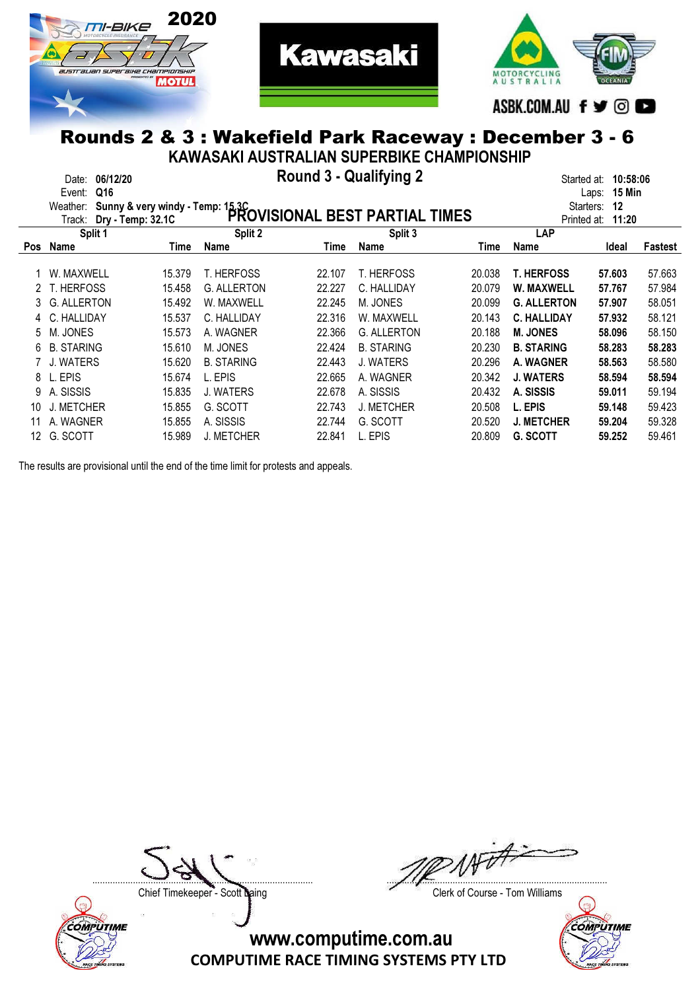



**Kawasaki** 

KAWASAKI AUSTRALIAN SUPERBIKE CHAMPIONSHIP

|            | 06/12/20<br>Date:<br>Q16<br>Event:<br>Weather:<br>Dry - Temp: 32.1C<br>Track: | Sunny & very windy - Temp: 15.3C |                    | Round 3 - Qualifying 2 | PROVISIONAL BEST PARTIAL TIMES |        | Started at:<br>Starters:<br>Printed at: | 10:58:06<br>15 Min<br>Laps:<br>12<br>11:20 |         |
|------------|-------------------------------------------------------------------------------|----------------------------------|--------------------|------------------------|--------------------------------|--------|-----------------------------------------|--------------------------------------------|---------|
|            | Split 1                                                                       |                                  | Split 2            |                        | Split 3                        |        | <b>LAP</b>                              |                                            |         |
| <b>Pos</b> | Name                                                                          | Time                             | Name               | Time                   | <b>Name</b>                    | Time   | Name                                    | Ideal                                      | Fastest |
|            | W. MAXWELL                                                                    | 15.379                           | T. HERFOSS         | 22.107                 | <b>T. HERFOSS</b>              | 20.038 | <b>T. HERFOSS</b>                       | 57.603                                     | 57.663  |
|            | T. HERFOSS                                                                    | 15.458                           | <b>G. ALLERTON</b> | 22.227                 | C. HALLIDAY                    | 20.079 | W. MAXWELL                              | 57.767                                     | 57.984  |
|            | <b>G. ALLERTON</b>                                                            | 15.492                           | W. MAXWELL         | 22.245                 | M. JONES                       | 20.099 | <b>G. ALLERTON</b>                      | 57.907                                     | 58.051  |
|            | C. HALLIDAY                                                                   | 15.537                           | C. HALLIDAY        | 22.316                 | W. MAXWELL                     | 20.143 | <b>C. HALLIDAY</b>                      | 57.932                                     | 58.121  |
| 5.         | M. JONES                                                                      | 15.573                           | A. WAGNER          | 22.366                 | <b>G. ALLERTON</b>             | 20.188 | <b>M. JONES</b>                         | 58,096                                     | 58.150  |
| 6          | <b>B. STARING</b>                                                             | 15.610                           | M. JONES           | 22.424                 | <b>B. STARING</b>              | 20.230 | <b>B. STARING</b>                       | 58.283                                     | 58.283  |
|            | <b>WATERS</b>                                                                 | 15.620                           | <b>B. STARING</b>  | 22.443                 | J. WATERS                      | 20.296 | A. WAGNER                               | 58.563                                     | 58.580  |
| 8          | EPIS                                                                          | 15.674                           | L. EPIS            | 22.665                 | A. WAGNER                      | 20.342 | J. WATERS                               | 58.594                                     | 58.594  |
| 9          | A. SISSIS                                                                     | 15.835                           | <b>J. WATERS</b>   | 22.678                 | A. SISSIS                      | 20.432 | A. SISSIS                               | 59.011                                     | 59.194  |
| 10         | <b>METCHER</b>                                                                | 15.855                           | G. SCOTT           | 22.743                 | <b>J. METCHER</b>              | 20.508 | L. EPIS                                 | 59.148                                     | 59.423  |
|            | A. WAGNER                                                                     | 15.855                           | A. SISSIS          | 22.744                 | G. SCOTT                       | 20.520 | J. METCHER                              | 59.204                                     | 59.328  |
| 12         | G. SCOTT                                                                      | 15.989                           | <b>J. METCHER</b>  | 22.841                 | EPIS                           | 20.809 | <b>G. SCOTT</b>                         | 59.252                                     | 59.461  |

The results are provisional until the end of the time limit for protests and appeals.



....................................................................................... .......................................................................................

Chief Timekeeper - Scott Laing Chief Timekeeper - Scott Laing

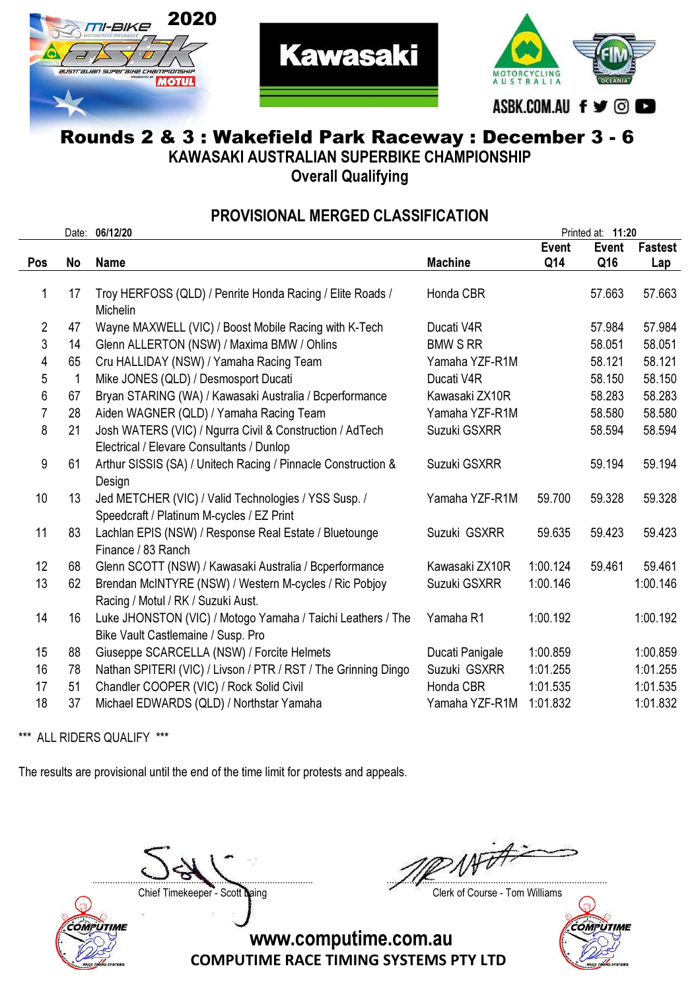



**Kawasaki** 

KAWASAKI AUSTRALIAN SUPERBIKE CHAMPIONSHIP

Overall Qualifying

#### PROVISIONAL MERGED CLASSIFICATION

|            |    | Date: 06/12/20                                                 |                 |              | Printed at: 11:20 |                |
|------------|----|----------------------------------------------------------------|-----------------|--------------|-------------------|----------------|
|            |    |                                                                |                 | <b>Event</b> | <b>Event</b>      | <b>Fastest</b> |
| <b>Pos</b> | No | <b>Name</b>                                                    | <b>Machine</b>  | Q14          | Q16               | Lap            |
|            |    |                                                                |                 |              |                   |                |
| 1          | 17 | Troy HERFOSS (QLD) / Penrite Honda Racing / Elite Roads /      | Honda CBR       |              | 57.663            | 57.663         |
|            |    | Michelin                                                       |                 |              |                   |                |
| 2          | 47 | Wayne MAXWELL (VIC) / Boost Mobile Racing with K-Tech          | Ducati V4R      |              | 57.984            | 57.984         |
| 3          | 14 | Glenn ALLERTON (NSW) / Maxima BMW / Ohlins                     | <b>BMW S RR</b> |              | 58.051            | 58.051         |
| 4          | 65 | Cru HALLIDAY (NSW) / Yamaha Racing Team                        | Yamaha YZF-R1M  |              | 58.121            | 58.121         |
| 5          | 1  | Mike JONES (QLD) / Desmosport Ducati                           | Ducati V4R      |              | 58.150            | 58.150         |
| 6          | 67 | Bryan STARING (WA) / Kawasaki Australia / Bcperformance        | Kawasaki ZX10R  |              | 58.283            | 58.283         |
| 7          | 28 | Aiden WAGNER (QLD) / Yamaha Racing Team                        | Yamaha YZF-R1M  |              | 58.580            | 58.580         |
| 8          | 21 | Josh WATERS (VIC) / Ngurra Civil & Construction / AdTech       | Suzuki GSXRR    |              | 58.594            | 58.594         |
|            |    | Electrical / Elevare Consultants / Dunlop                      |                 |              |                   |                |
| 9          | 61 | Arthur SISSIS (SA) / Unitech Racing / Pinnacle Construction &  | Suzuki GSXRR    |              | 59.194            | 59.194         |
|            |    | Design                                                         |                 |              |                   |                |
| 10         | 13 | Jed METCHER (VIC) / Valid Technologies / YSS Susp. /           | Yamaha YZF-R1M  | 59.700       | 59.328            | 59.328         |
|            |    | Speedcraft / Platinum M-cycles / EZ Print                      |                 |              |                   |                |
| 11         | 83 | Lachlan EPIS (NSW) / Response Real Estate / Bluetounge         | Suzuki GSXRR    | 59.635       | 59.423            | 59.423         |
|            |    | Finance / 83 Ranch                                             |                 |              |                   |                |
| 12         | 68 | Glenn SCOTT (NSW) / Kawasaki Australia / Bcperformance         | Kawasaki ZX10R  | 1:00.124     | 59.461            | 59.461         |
| 13         | 62 | Brendan McINTYRE (NSW) / Western M-cycles / Ric Pobjoy         | Suzuki GSXRR    | 1:00.146     |                   | 1:00.146       |
|            |    | Racing / Motul / RK / Suzuki Aust.                             |                 |              |                   |                |
| 14         | 16 | Luke JHONSTON (VIC) / Motogo Yamaha / Taichi Leathers / The    | Yamaha R1       | 1:00.192     |                   | 1:00.192       |
|            |    | Bike Vault Castlemaine / Susp. Pro                             |                 |              |                   |                |
| 15         | 88 | Giuseppe SCARCELLA (NSW) / Forcite Helmets                     | Ducati Panigale | 1:00.859     |                   | 1:00.859       |
| 16         | 78 | Nathan SPITERI (VIC) / Livson / PTR / RST / The Grinning Dingo | Suzuki GSXRR    | 1:01.255     |                   | 1:01.255       |
| 17         | 51 | Chandler COOPER (VIC) / Rock Solid Civil                       | Honda CBR       | 1:01.535     |                   | 1:01.535       |
| 18         | 37 | Michael EDWARDS (QLD) / Northstar Yamaha                       | Yamaha YZF-R1M  | 1:01.832     |                   | 1:01.832       |
|            |    |                                                                |                 |              |                   |                |

\*\*\* ALL RIDERS QUALIFY \*\*\*

The results are provisional until the end of the time limit for protests and appeals.



....................................................................................... .......................................................................................

Chief Timekeeper - Scott Laing Chief Timekeeper - Scott Laing

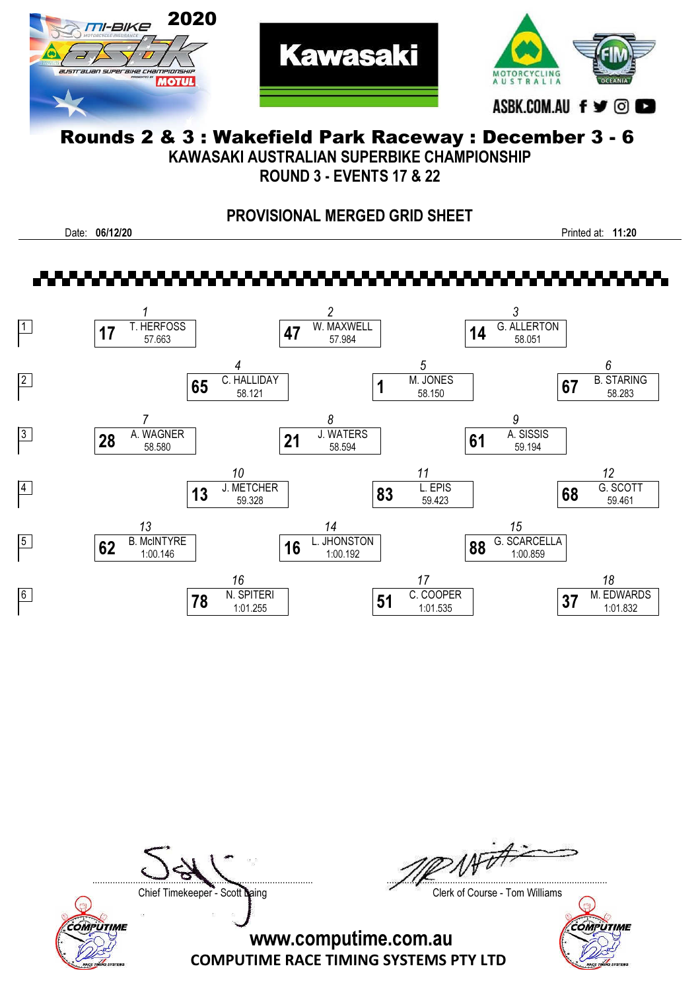



**Kawasaki** 

KAWASAKI AUSTRALIAN SUPERBIKE CHAMPIONSHIP

ROUND 3 - EVENTS 17 & 22

### PROVISIONAL MERGED GRID SHEET

Date: 06/12/20 Printed at: 11:20



COMPUTIME

....................................................................................... .......................................................................................

Chief Timekeeper - Scott Laing Chief Timekeeper - Scott Laing

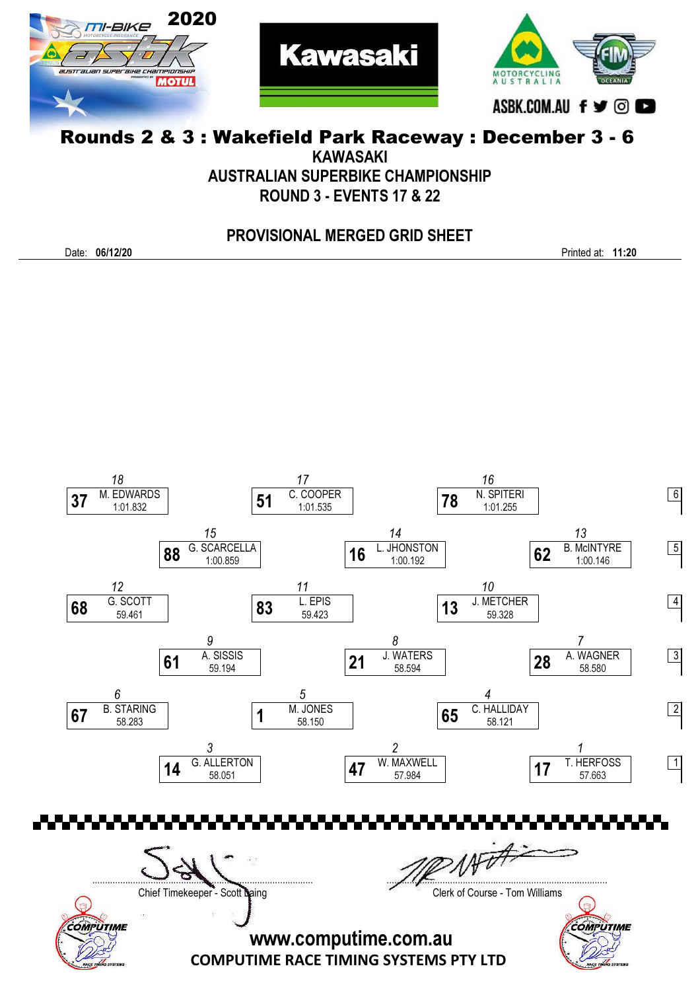



KAWASAKI

AUSTRALIAN SUPERBIKE CHAMPIONSHIP

ROUND 3 - EVENTS 17 & 22

#### PROVISIONAL MERGED GRID SHEET

Date: 06/12/20 Printed at: 11:20